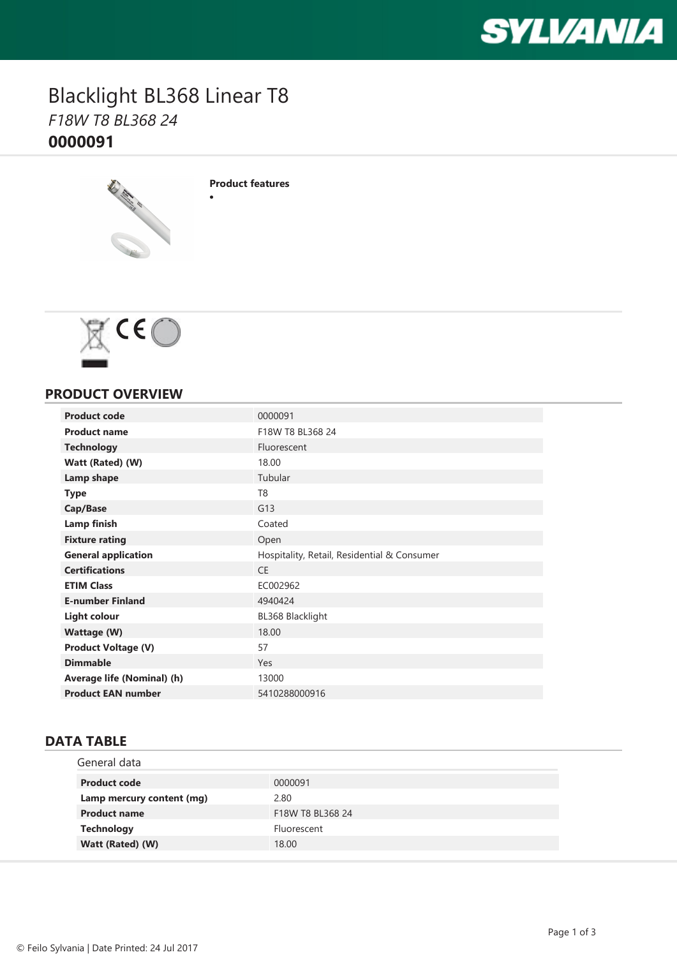

### Blacklight BL368 Linear T8 *F18W T8 BL368 24* **0000091**



**Product features**

·



#### **PRODUCT OVERVIEW**

| <b>Product code</b>        | 0000091                                     |
|----------------------------|---------------------------------------------|
| <b>Product name</b>        | F18W T8 BL368 24                            |
| <b>Technology</b>          | Fluorescent                                 |
| Watt (Rated) (W)           | 18.00                                       |
| Lamp shape                 | Tubular                                     |
| <b>Type</b>                | T <sub>8</sub>                              |
| Cap/Base                   | G13                                         |
| <b>Lamp finish</b>         | Coated                                      |
| <b>Fixture rating</b>      | Open                                        |
| <b>General application</b> | Hospitality, Retail, Residential & Consumer |
| <b>Certifications</b>      | <b>CE</b>                                   |
| <b>ETIM Class</b>          | EC002962                                    |
| <b>E-number Finland</b>    | 4940424                                     |
| <b>Light colour</b>        | BL368 Blacklight                            |
| <b>Wattage (W)</b>         | 18.00                                       |
| <b>Product Voltage (V)</b> | 57                                          |
| <b>Dimmable</b>            | Yes                                         |
| Average life (Nominal) (h) | 13000                                       |
| <b>Product EAN number</b>  | 5410288000916                               |

### **DATA TABLE**

| General data              |                  |
|---------------------------|------------------|
| <b>Product code</b>       | 0000091          |
| Lamp mercury content (mg) | 2.80             |
| <b>Product name</b>       | F18W T8 BL368 24 |
| <b>Technology</b>         | Fluorescent      |
| Watt (Rated) (W)          | 18.00            |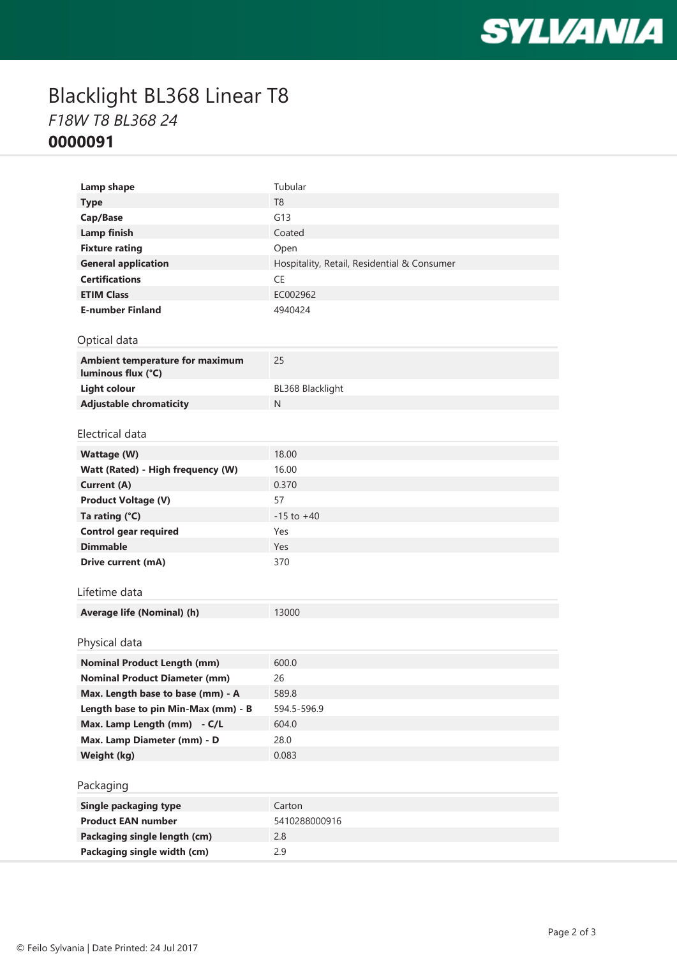

# Blacklight BL368 Linear T8 *F18W T8 BL368 24* **0000091**

| Lamp shape                                            | Tubular                                     |
|-------------------------------------------------------|---------------------------------------------|
| <b>Type</b>                                           | T <sub>8</sub>                              |
| Cap/Base                                              | G13                                         |
| <b>Lamp finish</b>                                    | Coated                                      |
| <b>Fixture rating</b>                                 | Open                                        |
| <b>General application</b>                            | Hospitality, Retail, Residential & Consumer |
| <b>Certifications</b>                                 | <b>CE</b>                                   |
| <b>ETIM Class</b>                                     | EC002962                                    |
| <b>E-number Finland</b>                               | 4940424                                     |
|                                                       |                                             |
| Optical data                                          |                                             |
| Ambient temperature for maximum<br>luminous flux (°C) | 25                                          |
| <b>Light colour</b>                                   | BL368 Blacklight                            |
| <b>Adjustable chromaticity</b>                        | N                                           |
|                                                       |                                             |
| Electrical data                                       |                                             |
| <b>Wattage (W)</b>                                    | 18.00                                       |
| Watt (Rated) - High frequency (W)                     | 16.00                                       |
| <b>Current (A)</b>                                    | 0.370                                       |
| <b>Product Voltage (V)</b>                            | 57                                          |
| Ta rating (°C)                                        | $-15$ to $+40$                              |
| <b>Control gear required</b>                          | Yes                                         |
| <b>Dimmable</b>                                       | Yes                                         |
| Drive current (mA)                                    | 370                                         |
|                                                       |                                             |
| Lifetime data                                         |                                             |
| Average life (Nominal) (h)                            | 13000                                       |
|                                                       |                                             |
| Physical data                                         |                                             |
| <b>Nominal Product Length (mm)</b>                    | 600.0                                       |
| <b>Nominal Product Diameter (mm)</b>                  | 26                                          |
| Max. Length base to base (mm) - A                     | 589.8                                       |
| Length base to pin Min-Max (mm) - B                   | 594.5-596.9                                 |
| Max. Lamp Length (mm) - C/L                           | 604.0                                       |
| Max. Lamp Diameter (mm) - D                           | 28.0                                        |
| Weight (kg)                                           | 0.083                                       |
|                                                       |                                             |
| Packaging                                             |                                             |
| <b>Single packaging type</b>                          | Carton                                      |
| <b>Product EAN number</b>                             | 5410288000916                               |
| Packaging single length (cm)                          | 2.8                                         |
| Packaging single width (cm)                           | 2.9                                         |